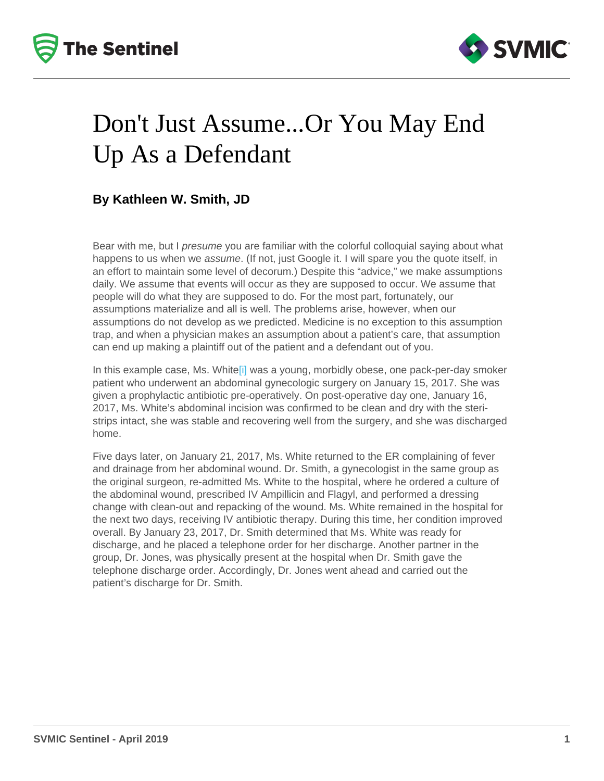## <span id="page-0-0"></span>Don't Just Assume...Or You May End Up As a Defendant

#### By Kathleen W. Smith, JD

Bear with me, but I presume you are familiar with the colorful colloquial saying about what happens to us when we assume. (If not, just Google it. I will spare you the quote itself, in an effort to maintain some level of decorum.) Despite this "advice," we make assumptions daily. We assume that events will occur as they are supposed to occur. We assume that people will do what they are supposed to do. For the most part, fortunately, our assumptions materialize and all is well. The problems arise, however, when our assumptions do not develop as we predicted. Medicine is no exception to this assumption trap, and when a physician makes an assumption about a patient's care, that assumption can end up making a plaintiff out of the patient and a defendant out of you.

In this example case, Ms. Whit[e\[i\]](#page-2-0) was a young, morbidly obese, one pack-per-day smoker patient who underwent an abdominal gynecologic surgery on January 15, 2017. She was given a prophylactic antibiotic pre-operatively. On post-operative day one, January 16, 2017, Ms. White's abdominal incision was confirmed to be clean and dry with the steristrips intact, she was stable and recovering well from the surgery, and she was discharged home.

Five days later, on January 21, 2017, Ms. White returned to the ER complaining of fever and drainage from her abdominal wound. Dr. Smith, a gynecologist in the same group as the original surgeon, re-admitted Ms. White to the hospital, where he ordered a culture of the abdominal wound, prescribed IV Ampillicin and Flagyl, and performed a dressing change with clean-out and repacking of the wound. Ms. White remained in the hospital for the next two days, receiving IV antibiotic therapy. During this time, her condition improved overall. By January 23, 2017, Dr. Smith determined that Ms. White was ready for discharge, and he placed a telephone order for her discharge. Another partner in the group, Dr. Jones, was physically present at the hospital when Dr. Smith gave the telephone discharge order. Accordingly, Dr. Jones went ahead and carried out the patient's discharge for Dr. Smith.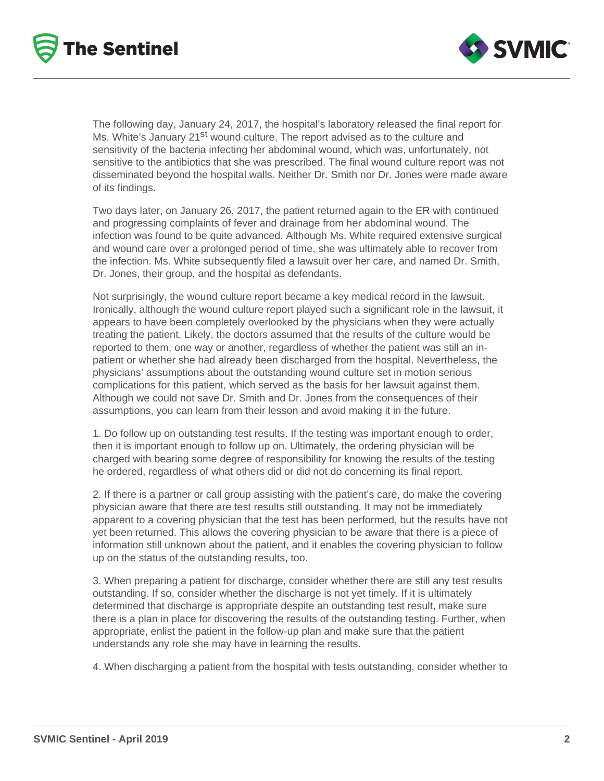



The following day, January 24, 2017, the hospital's laboratory released the final report for Ms. White's January 21<sup>st</sup> wound culture. The report advised as to the culture and sensitivity of the bacteria infecting her abdominal wound, which was, unfortunately, not sensitive to the antibiotics that she was prescribed. The final wound culture report was not disseminated beyond the hospital walls. Neither Dr. Smith nor Dr. Jones were made aware of its findings.

Two days later, on January 26, 2017, the patient returned again to the ER with continued and progressing complaints of fever and drainage from her abdominal wound. The infection was found to be quite advanced. Although Ms. White required extensive surgical and wound care over a prolonged period of time, she was ultimately able to recover from the infection. Ms. White subsequently filed a lawsuit over her care, and named Dr. Smith, Dr. Jones, their group, and the hospital as defendants.

Not surprisingly, the wound culture report became a key medical record in the lawsuit. Ironically, although the wound culture report played such a significant role in the lawsuit, it appears to have been completely overlooked by the physicians when they were actually treating the patient. Likely, the doctors assumed that the results of the culture would be reported to them, one way or another, regardless of whether the patient was still an inpatient or whether she had already been discharged from the hospital. Nevertheless, the physicians' assumptions about the outstanding wound culture set in motion serious complications for this patient, which served as the basis for her lawsuit against them. Although we could not save Dr. Smith and Dr. Jones from the consequences of their assumptions, you can learn from their lesson and avoid making it in the future.

1. Do follow up on outstanding test results. If the testing was important enough to order, then it is important enough to follow up on. Ultimately, the ordering physician will be charged with bearing some degree of responsibility for knowing the results of the testing he ordered, regardless of what others did or did not do concerning its final report.

2. If there is a partner or call group assisting with the patient's care, do make the covering physician aware that there are test results still outstanding. It may not be immediately apparent to a covering physician that the test has been performed, but the results have not yet been returned. This allows the covering physician to be aware that there is a piece of information still unknown about the patient, and it enables the covering physician to follow up on the status of the outstanding results, too.

3. When preparing a patient for discharge, consider whether there are still any test results outstanding. If so, consider whether the discharge is not yet timely. If it is ultimately determined that discharge is appropriate despite an outstanding test result, make sure there is a plan in place for discovering the results of the outstanding testing. Further, when appropriate, enlist the patient in the follow-up plan and make sure that the patient understands any role she may have in learning the results.

4. When discharging a patient from the hospital with tests outstanding, consider whether to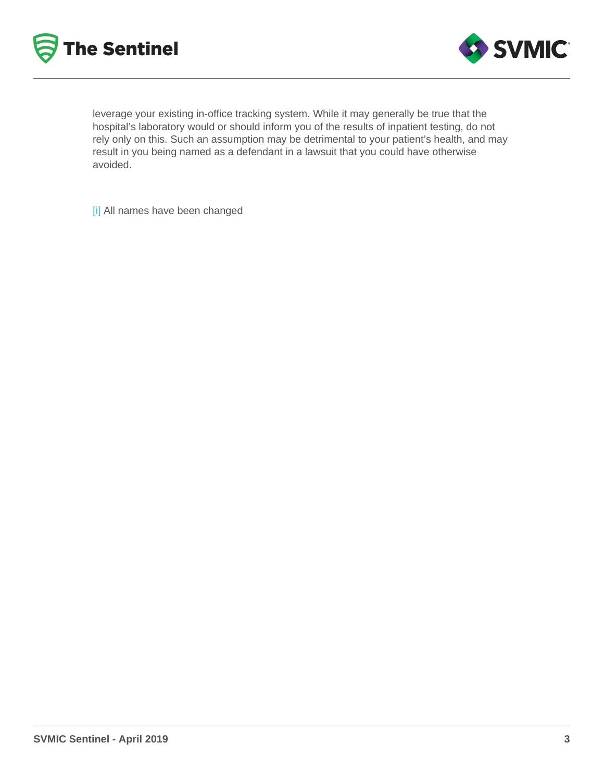<span id="page-2-0"></span>leverage your existing in-office tracking system. While it may generally be true that the hospital's laboratory would or should inform you of the results of inpatient testing, do not rely only on this. Such an assumption may be detrimental to your patient's health, and may result in you being named as a defendant in a lawsuit that you could have otherwise avoided.

[\[i\]](#page-0-0) All names have been changed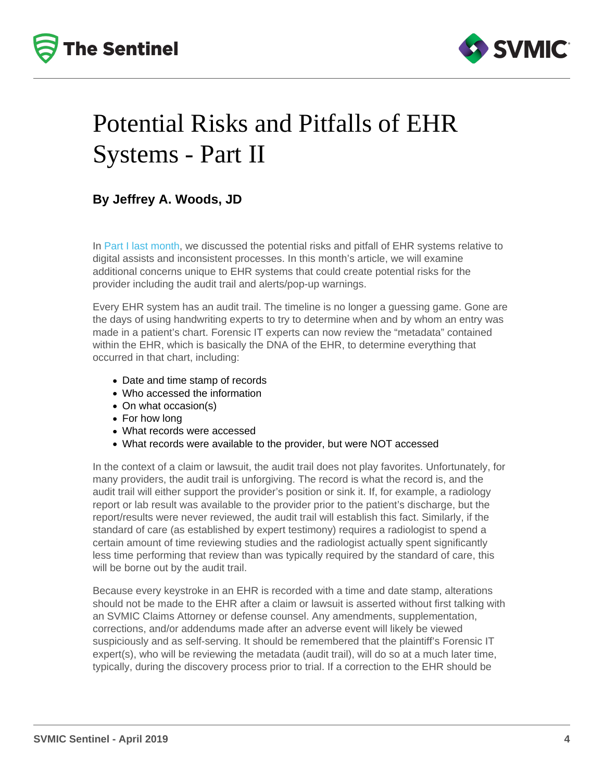# Potential Risks and Pitfalls of EHR Systems - Part II

By Jeffrey A. Woods, JD

In [Part I last month](/resources/newsletters/185/potential-risks-and-pitfalls-of-ehr-systems-part-i), we discussed the potential risks and pitfall of EHR systems relative to digital assists and inconsistent processes. In this month's article, we will examine additional concerns unique to EHR systems that could create potential risks for the provider including the audit trail and alerts/pop-up warnings.

Every EHR system has an audit trail. The timeline is no longer a guessing game. Gone are the days of using handwriting experts to try to determine when and by whom an entry was made in a patient's chart. Forensic IT experts can now review the "metadata" contained within the EHR, which is basically the DNA of the EHR, to determine everything that occurred in that chart, including:

- Date and time stamp of records
- Who accessed the information
- On what occasion(s)
- For how long
- What records were accessed
- What records were available to the provider, but were NOT accessed

In the context of a claim or lawsuit, the audit trail does not play favorites. Unfortunately, for many providers, the audit trail is unforgiving. The record is what the record is, and the audit trail will either support the provider's position or sink it. If, for example, a radiology report or lab result was available to the provider prior to the patient's discharge, but the report/results were never reviewed, the audit trail will establish this fact. Similarly, if the standard of care (as established by expert testimony) requires a radiologist to spend a certain amount of time reviewing studies and the radiologist actually spent significantly less time performing that review than was typically required by the standard of care, this will be borne out by the audit trail.

Because every keystroke in an EHR is recorded with a time and date stamp, alterations should not be made to the EHR after a claim or lawsuit is asserted without first talking with an SVMIC Claims Attorney or defense counsel. Any amendments, supplementation, corrections, and/or addendums made after an adverse event will likely be viewed suspiciously and as self-serving. It should be remembered that the plaintiff's Forensic IT expert(s), who will be reviewing the metadata (audit trail), will do so at a much later time, typically, during the discovery process prior to trial. If a correction to the EHR should be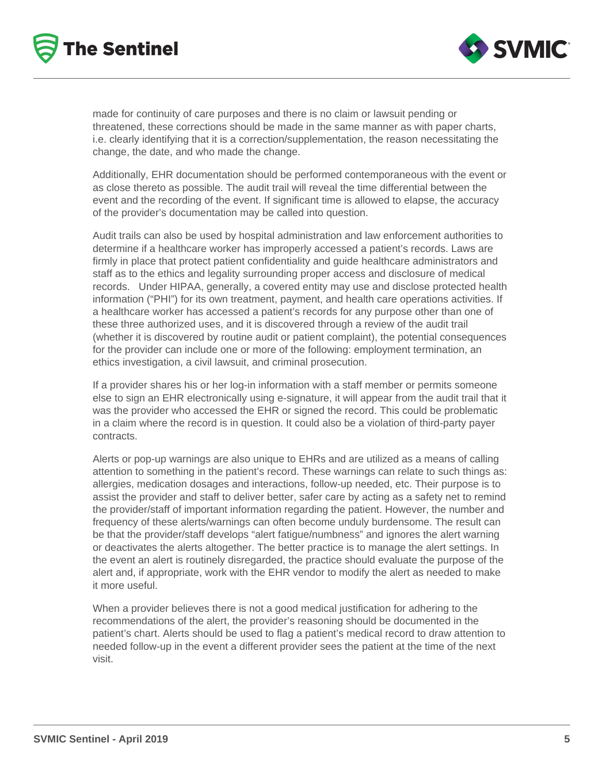



made for continuity of care purposes and there is no claim or lawsuit pending or threatened, these corrections should be made in the same manner as with paper charts, i.e. clearly identifying that it is a correction/supplementation, the reason necessitating the change, the date, and who made the change.

Additionally, EHR documentation should be performed contemporaneous with the event or as close thereto as possible. The audit trail will reveal the time differential between the event and the recording of the event. If significant time is allowed to elapse, the accuracy of the provider's documentation may be called into question.

Audit trails can also be used by hospital administration and law enforcement authorities to determine if a healthcare worker has improperly accessed a patient's records. Laws are firmly in place that protect patient confidentiality and guide healthcare administrators and staff as to the ethics and legality surrounding proper access and disclosure of medical records. Under HIPAA, generally, a covered entity may use and disclose protected health information ("PHI") for its own treatment, payment, and health care operations activities. If a healthcare worker has accessed a patient's records for any purpose other than one of these three authorized uses, and it is discovered through a review of the audit trail (whether it is discovered by routine audit or patient complaint), the potential consequences for the provider can include one or more of the following: employment termination, an ethics investigation, a civil lawsuit, and criminal prosecution.

If a provider shares his or her log-in information with a staff member or permits someone else to sign an EHR electronically using e-signature, it will appear from the audit trail that it was the provider who accessed the EHR or signed the record. This could be problematic in a claim where the record is in question. It could also be a violation of third-party payer contracts.

Alerts or pop-up warnings are also unique to EHRs and are utilized as a means of calling attention to something in the patient's record. These warnings can relate to such things as: allergies, medication dosages and interactions, follow-up needed, etc. Their purpose is to assist the provider and staff to deliver better, safer care by acting as a safety net to remind the provider/staff of important information regarding the patient. However, the number and frequency of these alerts/warnings can often become unduly burdensome. The result can be that the provider/staff develops "alert fatigue/numbness" and ignores the alert warning or deactivates the alerts altogether. The better practice is to manage the alert settings. In the event an alert is routinely disregarded, the practice should evaluate the purpose of the alert and, if appropriate, work with the EHR vendor to modify the alert as needed to make it more useful.

When a provider believes there is not a good medical justification for adhering to the recommendations of the alert, the provider's reasoning should be documented in the patient's chart. Alerts should be used to flag a patient's medical record to draw attention to needed follow-up in the event a different provider sees the patient at the time of the next visit.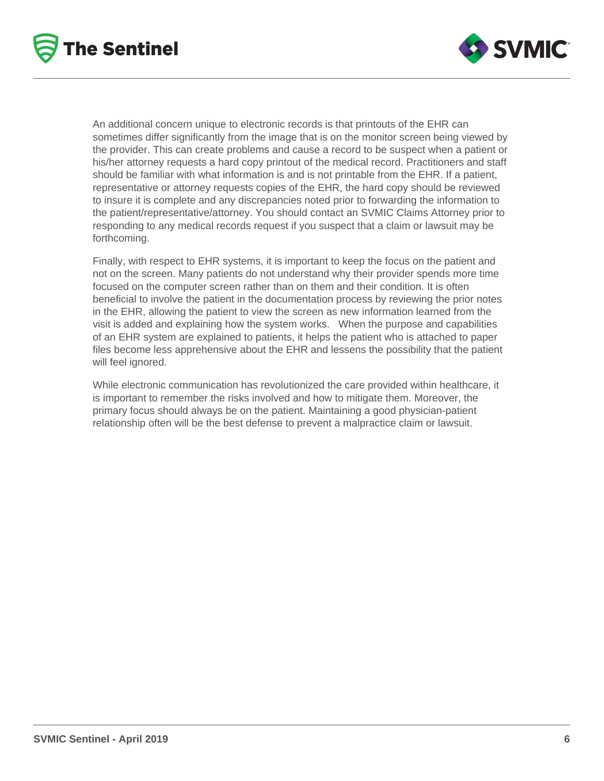



An additional concern unique to electronic records is that printouts of the EHR can sometimes differ significantly from the image that is on the monitor screen being viewed by the provider. This can create problems and cause a record to be suspect when a patient or his/her attorney requests a hard copy printout of the medical record. Practitioners and staff should be familiar with what information is and is not printable from the EHR. If a patient, representative or attorney requests copies of the EHR, the hard copy should be reviewed to insure it is complete and any discrepancies noted prior to forwarding the information to the patient/representative/attorney. You should contact an SVMIC Claims Attorney prior to responding to any medical records request if you suspect that a claim or lawsuit may be forthcoming.

Finally, with respect to EHR systems, it is important to keep the focus on the patient and not on the screen. Many patients do not understand why their provider spends more time focused on the computer screen rather than on them and their condition. It is often beneficial to involve the patient in the documentation process by reviewing the prior notes in the EHR, allowing the patient to view the screen as new information learned from the visit is added and explaining how the system works. When the purpose and capabilities of an EHR system are explained to patients, it helps the patient who is attached to paper files become less apprehensive about the EHR and lessens the possibility that the patient will feel ignored.

While electronic communication has revolutionized the care provided within healthcare, it is important to remember the risks involved and how to mitigate them. Moreover, the primary focus should always be on the patient. Maintaining a good physician-patient relationship often will be the best defense to prevent a malpractice claim or lawsuit.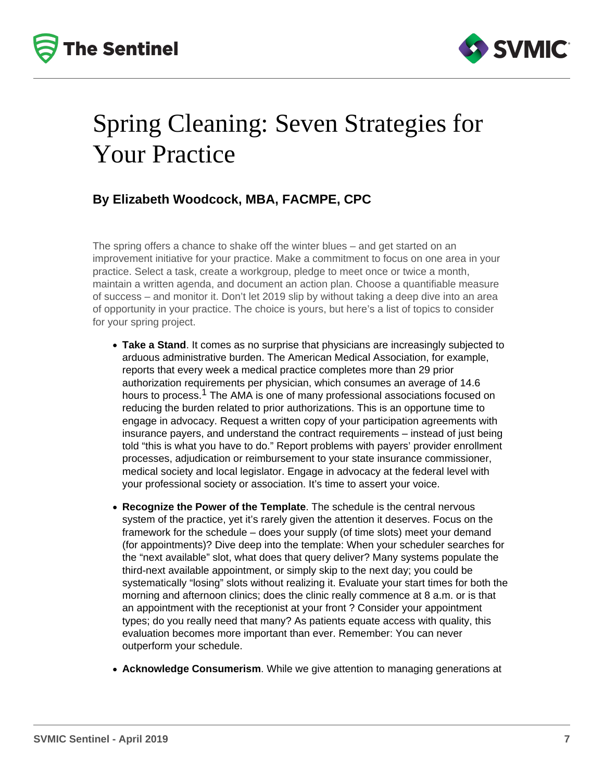



### Spring Cleaning: Seven Strategies for Your Practice

#### **By Elizabeth Woodcock, MBA, FACMPE, CPC**

The spring offers a chance to shake off the winter blues – and get started on an improvement initiative for your practice. Make a commitment to focus on one area in your practice. Select a task, create a workgroup, pledge to meet once or twice a month, maintain a written agenda, and document an action plan. Choose a quantifiable measure of success – and monitor it. Don't let 2019 slip by without taking a deep dive into an area of opportunity in your practice. The choice is yours, but here's a list of topics to consider for your spring project.

- **Take a Stand**. It comes as no surprise that physicians are increasingly subjected to arduous administrative burden. The American Medical Association, for example, reports that every week a medical practice completes more than 29 prior authorization requirements per physician, which consumes an average of 14.6 hours to process.<sup>1</sup> The AMA is one of many professional associations focused on reducing the burden related to prior authorizations. This is an opportune time to engage in advocacy. Request a written copy of your participation agreements with insurance payers, and understand the contract requirements – instead of just being told "this is what you have to do." Report problems with payers' provider enrollment processes, adjudication or reimbursement to your state insurance commissioner, medical society and local legislator. Engage in advocacy at the federal level with your professional society or association. It's time to assert your voice.
- **Recognize the Power of the Template**. The schedule is the central nervous system of the practice, yet it's rarely given the attention it deserves. Focus on the framework for the schedule – does your supply (of time slots) meet your demand (for appointments)? Dive deep into the template: When your scheduler searches for the "next available" slot, what does that query deliver? Many systems populate the third-next available appointment, or simply skip to the next day; you could be systematically "losing" slots without realizing it. Evaluate your start times for both the morning and afternoon clinics; does the clinic really commence at 8 a.m. or is that an appointment with the receptionist at your front ? Consider your appointment types; do you really need that many? As patients equate access with quality, this evaluation becomes more important than ever. Remember: You can never outperform your schedule.
- **Acknowledge Consumerism**. While we give attention to managing generations at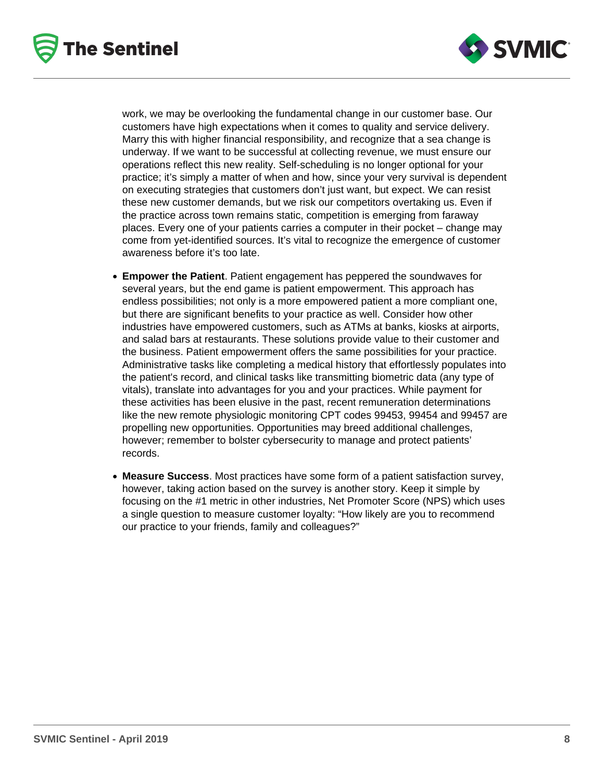



work, we may be overlooking the fundamental change in our customer base. Our customers have high expectations when it comes to quality and service delivery. Marry this with higher financial responsibility, and recognize that a sea change is underway. If we want to be successful at collecting revenue, we must ensure our operations reflect this new reality. Self-scheduling is no longer optional for your practice; it's simply a matter of when and how, since your very survival is dependent on executing strategies that customers don't just want, but expect. We can resist these new customer demands, but we risk our competitors overtaking us. Even if the practice across town remains static, competition is emerging from faraway places. Every one of your patients carries a computer in their pocket – change may come from yet-identified sources. It's vital to recognize the emergence of customer awareness before it's too late.

- **Empower the Patient**. Patient engagement has peppered the soundwaves for several years, but the end game is patient empowerment. This approach has endless possibilities; not only is a more empowered patient a more compliant one, but there are significant benefits to your practice as well. Consider how other industries have empowered customers, such as ATMs at banks, kiosks at airports, and salad bars at restaurants. These solutions provide value to their customer and the business. Patient empowerment offers the same possibilities for your practice. Administrative tasks like completing a medical history that effortlessly populates into the patient's record, and clinical tasks like transmitting biometric data (any type of vitals), translate into advantages for you and your practices. While payment for these activities has been elusive in the past, recent remuneration determinations like the new remote physiologic monitoring CPT codes 99453, 99454 and 99457 are propelling new opportunities. Opportunities may breed additional challenges, however; remember to bolster cybersecurity to manage and protect patients' records.
- **Measure Success**. Most practices have some form of a patient satisfaction survey, however, taking action based on the survey is another story. Keep it simple by focusing on the #1 metric in other industries, Net Promoter Score (NPS) which uses a single question to measure customer loyalty: "How likely are you to recommend our practice to your friends, family and colleagues?"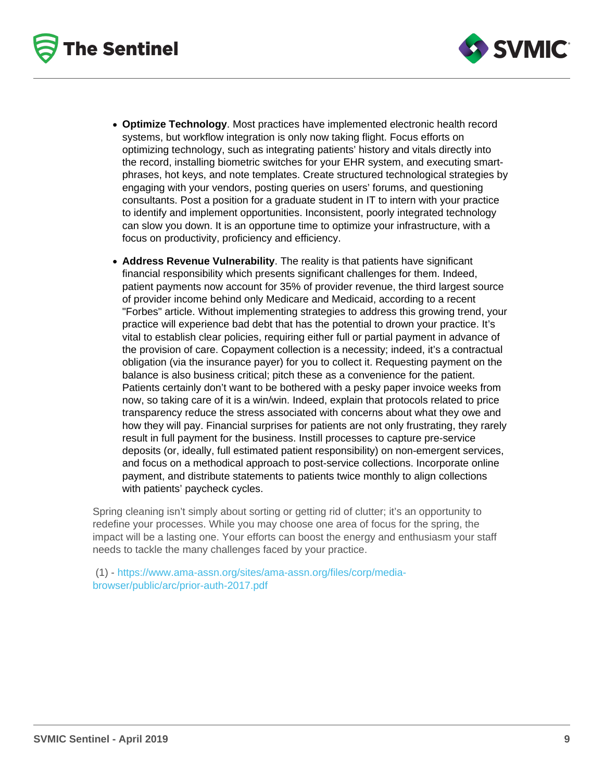- Optimize Technology . Most practices have implemented electronic health record systems, but workflow integration is only now taking flight. Focus efforts on optimizing technology, such as integrating patients' history and vitals directly into the record, installing biometric switches for your EHR system, and executing smartphrases, hot keys, and note templates. Create structured technological strategies by engaging with your vendors, posting queries on users' forums, and questioning consultants. Post a position for a graduate student in IT to intern with your practice to identify and implement opportunities. Inconsistent, poorly integrated technology can slow you down. It is an opportune time to optimize your infrastructure, with a focus on productivity, proficiency and efficiency.
- Address Revenue Vulnerability . The reality is that patients have significant financial responsibility which presents significant challenges for them. Indeed, patient payments now account for 35% of provider revenue, the third largest source of provider income behind only Medicare and Medicaid, according to a recent "Forbes" article. Without implementing strategies to address this growing trend, your practice will experience bad debt that has the potential to drown your practice. It's vital to establish clear policies, requiring either full or partial payment in advance of the provision of care. Copayment collection is a necessity; indeed, it's a contractual obligation (via the insurance payer) for you to collect it. Requesting payment on the balance is also business critical; pitch these as a convenience for the patient. Patients certainly don't want to be bothered with a pesky paper invoice weeks from now, so taking care of it is a win/win. Indeed, explain that protocols related to price transparency reduce the stress associated with concerns about what they owe and how they will pay. Financial surprises for patients are not only frustrating, they rarely result in full payment for the business. Instill processes to capture pre-service deposits (or, ideally, full estimated patient responsibility) on non-emergent services, and focus on a methodical approach to post-service collections. Incorporate online payment, and distribute statements to patients twice monthly to align collections with patients' paycheck cycles.

Spring cleaning isn't simply about sorting or getting rid of clutter; it's an opportunity to redefine your processes. While you may choose one area of focus for the spring, the impact will be a lasting one. Your efforts can boost the energy and enthusiasm your staff needs to tackle the many challenges faced by your practice.

 (1) - [https://www.ama-assn.org/sites/ama-assn.org/files/corp/media](https://www.ama-assn.org/sites/ama-assn.org/files/corp/media-browser/public/arc/prior-auth-2017.pdf)[browser/public/arc/prior-auth-2017.pdf](https://www.ama-assn.org/sites/ama-assn.org/files/corp/media-browser/public/arc/prior-auth-2017.pdf)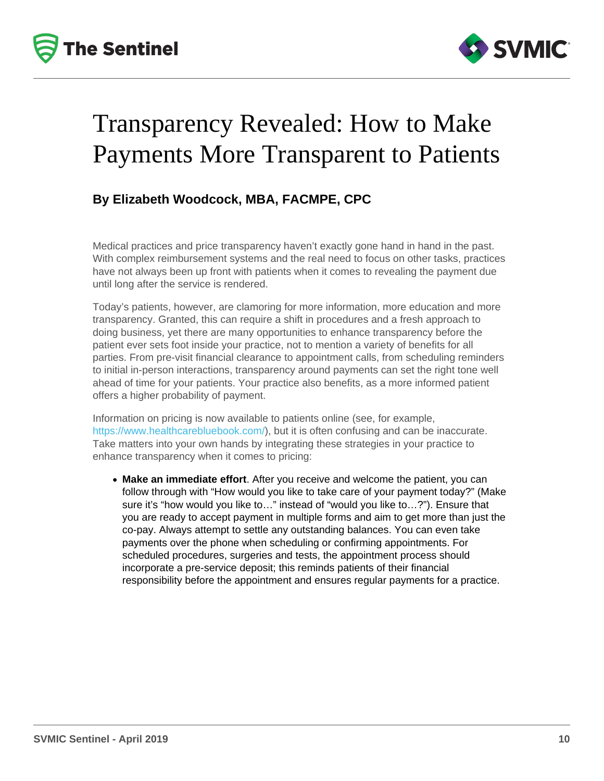## Transparency Revealed: How to Make Payments More Transparent to Patients

#### By Elizabeth Woodcock, MBA, FACMPE, CPC

Medical practices and price transparency haven't exactly gone hand in hand in the past. With complex reimbursement systems and the real need to focus on other tasks, practices have not always been up front with patients when it comes to revealing the payment due until long after the service is rendered.

Today's patients, however, are clamoring for more information, more education and more transparency. Granted, this can require a shift in procedures and a fresh approach to doing business, yet there are many opportunities to enhance transparency before the patient ever sets foot inside your practice, not to mention a variety of benefits for all parties. From pre-visit financial clearance to appointment calls, from scheduling reminders to initial in-person interactions, transparency around payments can set the right tone well ahead of time for your patients. Your practice also benefits, as a more informed patient offers a higher probability of payment.

Information on pricing is now available to patients online (see, for example, [https://www.healthcarebluebook.com/\)](https://www.healthcarebluebook.com/), but it is often confusing and can be inaccurate. Take matters into your own hands by integrating these strategies in your practice to enhance transparency when it comes to pricing:

• Make an immediate effort . After you receive and welcome the patient, you can follow through with "How would you like to take care of your payment today?" (Make sure it's "how would you like to…" instead of "would you like to…?"). Ensure that you are ready to accept payment in multiple forms and aim to get more than just the co-pay. Always attempt to settle any outstanding balances. You can even take payments over the phone when scheduling or confirming appointments. For scheduled procedures, surgeries and tests, the appointment process should incorporate a pre-service deposit; this reminds patients of their financial responsibility before the appointment and ensures regular payments for a practice.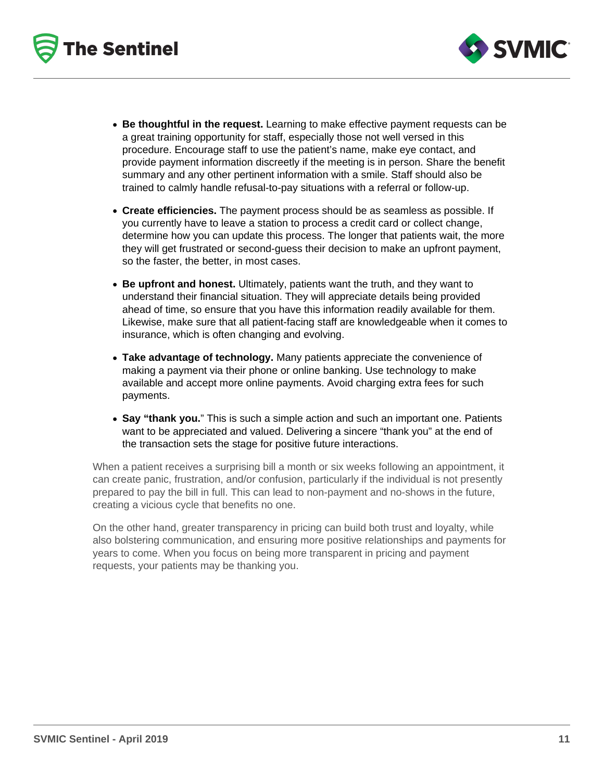



- **Be thoughtful in the request.** Learning to make effective payment requests can be a great training opportunity for staff, especially those not well versed in this procedure. Encourage staff to use the patient's name, make eye contact, and provide payment information discreetly if the meeting is in person. Share the benefit summary and any other pertinent information with a smile. Staff should also be trained to calmly handle refusal-to-pay situations with a referral or follow-up.
- **Create efficiencies.** The payment process should be as seamless as possible. If you currently have to leave a station to process a credit card or collect change, determine how you can update this process. The longer that patients wait, the more they will get frustrated or second-guess their decision to make an upfront payment, so the faster, the better, in most cases.
- **Be upfront and honest.** Ultimately, patients want the truth, and they want to understand their financial situation. They will appreciate details being provided ahead of time, so ensure that you have this information readily available for them. Likewise, make sure that all patient-facing staff are knowledgeable when it comes to insurance, which is often changing and evolving.
- **Take advantage of technology.** Many patients appreciate the convenience of making a payment via their phone or online banking. Use technology to make available and accept more online payments. Avoid charging extra fees for such payments.
- **Say "thank you.**" This is such a simple action and such an important one. Patients want to be appreciated and valued. Delivering a sincere "thank you" at the end of the transaction sets the stage for positive future interactions.

When a patient receives a surprising bill a month or six weeks following an appointment, it can create panic, frustration, and/or confusion, particularly if the individual is not presently prepared to pay the bill in full. This can lead to non-payment and no-shows in the future, creating a vicious cycle that benefits no one.

On the other hand, greater transparency in pricing can build both trust and loyalty, while also bolstering communication, and ensuring more positive relationships and payments for years to come. When you focus on being more transparent in pricing and payment requests, your patients may be thanking you.